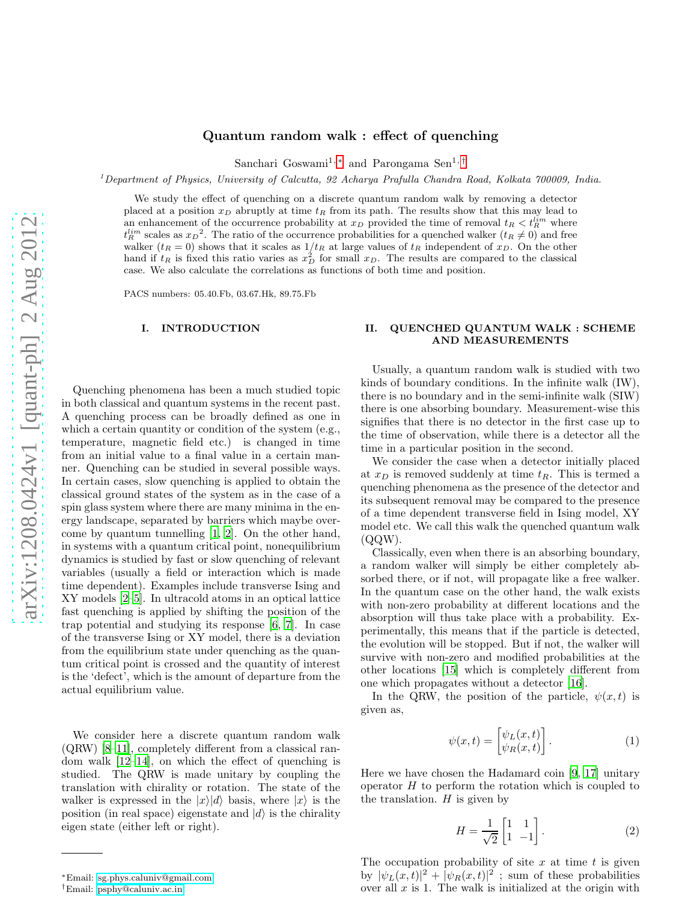### Quantum random walk : effect of quenching

Sanchari Goswami<sup>1,\*</sup> and Parongama Sen<sup>1,[†](#page-0-1)</sup>

<sup>1</sup>Department of Physics, University of Calcutta, 92 Acharya Prafulla Chandra Road, Kolkata 700009, India.

We study the effect of quenching on a discrete quantum random walk by removing a detector placed at a position  $x_D$  abruptly at time  $t_R$  from its path. The results show that this may lead to an enhancement of the occurrence probability at  $x_D$  provided the time of removal  $t_R < t_R^{lim}$  where  $t_R^{lim}$  scales as  $x_D^2$ . The ratio of the occurrence probabilities for a quenched walker  $(t_R \neq 0)$  and free walker  $(t_R = 0)$  shows that it scales as  $1/t_R$  at large values of  $t_R$  independent of  $x_D$ . On the other hand if  $t_R$  is fixed this ratio varies as  $x_D^2$  for small  $x_D$ . The results are compared to the classical case. We also calculate the correlations as functions of both time and position.

PACS numbers: 05.40.Fb, 03.67.Hk, 89.75.Fb

### I. INTRODUCTION

Quenching phenomena has been a much studied topic in both classical and quantum systems in the recent past. A quenching process can be broadly defined as one in which a certain quantity or condition of the system (e.g., temperature, magnetic field etc.) is changed in time from an initial value to a final value in a certain manner. Quenching can be studied in several possible ways. In certain cases, slow quenching is applied to obtain the classical ground states of the system as in the case of a spin glass system where there are many minima in the energy landscape, separated by barriers which maybe overcome by quantum tunnelling [\[1,](#page-4-0) [2\]](#page-4-1). On the other hand, in systems with a quantum critical point, nonequilibrium dynamics is studied by fast or slow quenching of relevant variables (usually a field or interaction which is made time dependent). Examples include transverse Ising and XY models [\[2](#page-4-1)[–5\]](#page-4-2). In ultracold atoms in an optical lattice fast quenching is applied by shifting the position of the trap potential and studying its response [\[6](#page-4-3), [7\]](#page-4-4). In case of the transverse Ising or XY model, there is a deviation from the equilibrium state under quenching as the quantum critical point is crossed and the quantity of interest is the 'defect', which is the amount of departure from the actual equilibrium value.

We consider here a discrete quantum random walk (QRW) [\[8](#page-4-5)[–11](#page-4-6)], completely different from a classical random walk [\[12](#page-4-7)[–14\]](#page-4-8), on which the effect of quenching is studied. The QRW is made unitary by coupling the translation with chirality or rotation. The state of the walker is expressed in the  $|x\rangle|d\rangle$  basis, where  $|x\rangle$  is the position (in real space) eigenstate and  $|d\rangle$  is the chirality eigen state (either left or right).

# II. QUENCHED QUANTUM WALK : SCHEME AND MEASUREMENTS

Usually, a quantum random walk is studied with two kinds of boundary conditions. In the infinite walk (IW), there is no boundary and in the semi-infinite walk (SIW) there is one absorbing boundary. Measurement-wise this signifies that there is no detector in the first case up to the time of observation, while there is a detector all the time in a particular position in the second.

We consider the case when a detector initially placed at  $x_D$  is removed suddenly at time  $t_R$ . This is termed a quenching phenomena as the presence of the detector and its subsequent removal may be compared to the presence of a time dependent transverse field in Ising model, XY model etc. We call this walk the quenched quantum walk (QQW).

Classically, even when there is an absorbing boundary, a random walker will simply be either completely absorbed there, or if not, will propagate like a free walker. In the quantum case on the other hand, the walk exists with non-zero probability at different locations and the absorption will thus take place with a probability. Experimentally, this means that if the particle is detected, the evolution will be stopped. But if not, the walker will survive with non-zero and modified probabilities at the other locations [\[15\]](#page-4-9) which is completely different from one which propagates without a detector [\[16](#page-4-10)].

In the QRW, the position of the particle,  $\psi(x, t)$  is given as,

$$
\psi(x,t) = \begin{bmatrix} \psi_L(x,t) \\ \psi_R(x,t) \end{bmatrix} . \tag{1}
$$

Here we have chosen the Hadamard coin [\[9](#page-4-11), [17\]](#page-4-12) unitary operator  $H$  to perform the rotation which is coupled to the translation.  $H$  is given by

$$
H = \frac{1}{\sqrt{2}} \begin{bmatrix} 1 & 1 \\ 1 & -1 \end{bmatrix} . \tag{2}
$$

The occupation probability of site  $x$  at time  $t$  is given by  $|\psi_L(x,t)|^2 + |\psi_R(x,t)|^2$ ; sum of these probabilities over all  $x$  is 1. The walk is initialized at the origin with

<span id="page-0-0"></span><sup>∗</sup>Email: [sg.phys.caluniv@gmail.com](mailto:sg.phys.caluniv@gmail.com)

<span id="page-0-1"></span><sup>†</sup>Email: [psphy@caluniv.ac.in](mailto:psphy@caluniv.ac.in)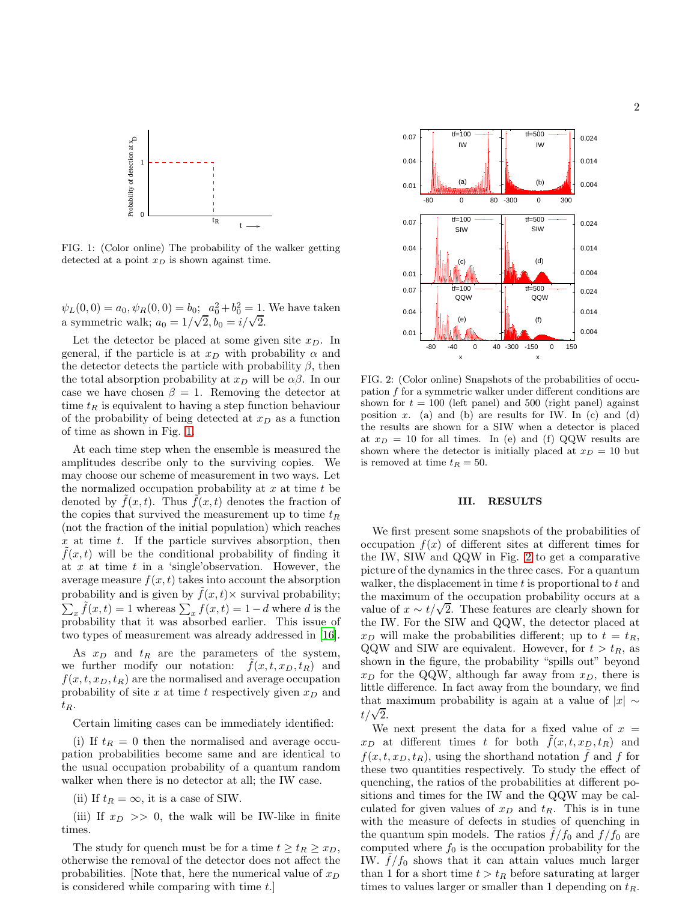

2



<span id="page-1-0"></span>FIG. 1: (Color online) The probability of the walker getting detected at a point  $x_D$  is shown against time.

 $\psi_L(0,0) = a_0, \psi_R(0,0) = b_0; \quad a_0^2 + b_0^2 = 1.$  We have taken a symmetric walk;  $a_0 = 1/\sqrt{2}, b_0 = i/\sqrt{2}$ .

Let the detector be placed at some given site  $x_D$ . In general, if the particle is at  $x_D$  with probability  $\alpha$  and the detector detects the particle with probability  $\beta$ , then the total absorption probability at  $x_D$  will be  $\alpha\beta$ . In our case we have chosen  $\beta = 1$ . Removing the detector at time  $t_R$  is equivalent to having a step function behaviour of the probability of being detected at  $x_D$  as a function of time as shown in Fig. [1.](#page-1-0)

At each time step when the ensemble is measured the amplitudes describe only to the surviving copies. We may choose our scheme of measurement in two ways. Let the normalized occupation probability at  $x$  at time  $t$  be denoted by  $\hat{f}(x,t)$ . Thus  $\hat{f}(x,t)$  denotes the fraction of the copies that survived the measurement up to time  $t_R$ (not the fraction of the initial population) which reaches x at time t. If the particle survives absorption, then  $f(x, t)$  will be the conditional probability of finding it at x at time t in a 'single' observation. However, the average measure  $f(x, t)$  takes into account the absorption probability and is given by  $f(x, t) \times$  survival probability;  $\sum_{x} \tilde{f}(x, t) = 1$  whereas  $\sum_{x} f(x, t) = 1 - d$  where d is the probability that it was absorbed earlier. This issue of two types of measurement was already addressed in [\[16\]](#page-4-10).

As  $x_D$  and  $t_R$  are the parameters of the system, we further modify our notation:  $f(x, t, x_D, t_R)$  and  $f(x, t, x_D, t_R)$  are the normalised and average occupation probability of site x at time t respectively given  $x_D$  and  $t_R$ .

Certain limiting cases can be immediately identified:

(i) If  $t_R = 0$  then the normalised and average occupation probabilities become same and are identical to the usual occupation probability of a quantum random walker when there is no detector at all; the IW case.

(ii) If  $t_R = \infty$ , it is a case of SIW.

(iii) If  $x_D \gg 0$ , the walk will be IW-like in finite times.

The study for quench must be for a time  $t \geq t_R \geq x_D$ , otherwise the removal of the detector does not affect the probabilities. Note that, here the numerical value of  $x_D$ is considered while comparing with time t.]



<span id="page-1-1"></span>FIG. 2: (Color online) Snapshots of the probabilities of occupation f for a symmetric walker under different conditions are shown for  $t = 100$  (left panel) and 500 (right panel) against position x. (a) and (b) are results for IW. In (c) and (d) the results are shown for a SIW when a detector is placed at  $x_D = 10$  for all times. In (e) and (f) QQW results are shown where the detector is initially placed at  $x_D = 10$  but is removed at time  $t_R = 50$ .

# III. RESULTS

We first present some snapshots of the probabilities of occupation  $f(x)$  of different sites at different times for the IW, SIW and QQW in Fig. [2](#page-1-1) to get a comparative picture of the dynamics in the three cases. For a quantum walker, the displacement in time  $t$  is proportional to  $t$  and the maximum of the occupation probability occurs at a value of  $x \sim t/\sqrt{2}$ . These features are clearly shown for the IW. For the SIW and QQW, the detector placed at  $x_D$  will make the probabilities different; up to  $t = t_R$ , QQW and SIW are equivalent. However, for  $t > t_R$ , as shown in the figure, the probability "spills out" beyond  $x<sub>D</sub>$  for the QQW, although far away from  $x<sub>D</sub>$ , there is little difference. In fact away from the boundary, we find that maximum probability is again at a value of  $|x| \sim$  $t/\sqrt{2}$ .

We next present the data for a fixed value of  $x =$  $x_D$  at different times t for both  $f(x, t, x_D, t_R)$  and  $f(x, t, x_D, t_R)$ , using the shorthand notation  $\hat{f}$  and  $f$  for these two quantities respectively. To study the effect of quenching, the ratios of the probabilities at different positions and times for the IW and the QQW may be calculated for given values of  $x_D$  and  $t_R$ . This is in tune with the measure of defects in studies of quenching in the quantum spin models. The ratios  $\tilde{f}/f_0$  and  $f/f_0$  are computed where  $f_0$  is the occupation probability for the IW.  $f/f_0$  shows that it can attain values much larger than 1 for a short time  $t > t_R$  before saturating at larger times to values larger or smaller than 1 depending on  $t_R$ .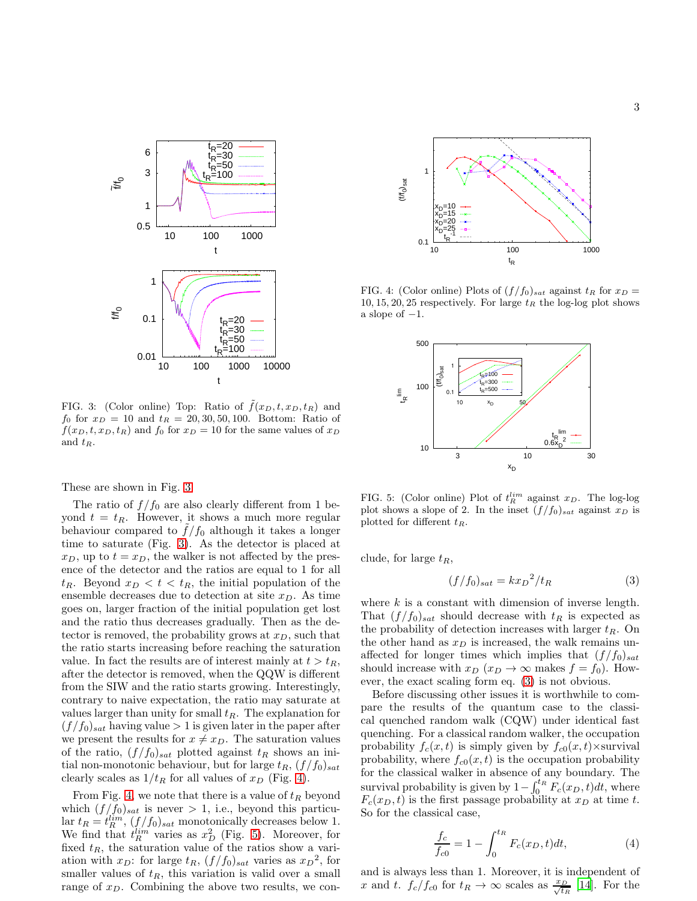

<span id="page-2-0"></span>FIG. 3: (Color online) Top: Ratio of  $\tilde{f}(x_D, t, x_D, t_R)$  and  $f_0$  for  $x_D = 10$  and  $t_R = 20, 30, 50, 100$ . Bottom: Ratio of  $f(x_D, t, x_D, t_R)$  and  $f_0$  for  $x_D = 10$  for the same values of  $x_D$ and  $t_R$ .

These are shown in Fig. [3.](#page-2-0)

The ratio of  $f/f_0$  are also clearly different from 1 beyond  $t = t_R$ . However, it shows a much more regular behaviour compared to  $f/f_0$  although it takes a longer time to saturate (Fig. [3\)](#page-2-0). As the detector is placed at  $x_D$ , up to  $t = x_D$ , the walker is not affected by the presence of the detector and the ratios are equal to 1 for all  $t_R$ . Beyond  $x_D < t < t_R$ , the initial population of the ensemble decreases due to detection at site  $x_D$ . As time goes on, larger fraction of the initial population get lost and the ratio thus decreases gradually. Then as the detector is removed, the probability grows at  $x_D$ , such that the ratio starts increasing before reaching the saturation value. In fact the results are of interest mainly at  $t > t_R$ , after the detector is removed, when the QQW is different from the SIW and the ratio starts growing. Interestingly, contrary to naive expectation, the ratio may saturate at values larger than unity for small  $t_R$ . The explanation for  $(f/f_0)_{sat}$  having value  $> 1$  is given later in the paper after we present the results for  $x \neq x_D$ . The saturation values of the ratio,  $(f/f_0)_{sat}$  plotted against  $t_R$  shows an initial non-monotonic behaviour, but for large  $t_R$ ,  $(f/f_0)_{sat}$ clearly scales as  $1/t_R$  for all values of  $x_D$  (Fig. [4\)](#page-2-1).

From Fig. [4,](#page-2-1) we note that there is a value of  $t_R$  beyond which  $(f/f_0)_{sat}$  is never > 1, i.e., beyond this particular  $t_R = t_R^{lim}, (f/f_0)_{sat}$  monotonically decreases below 1. We find that  $t_R^{lim}$  varies as  $x_D^2$  (Fig. [5\)](#page-2-2). Moreover, for fixed  $t_R$ , the saturation value of the ratios show a variation with  $x_D$ : for large  $t_R$ ,  $(f/f_0)_{sat}$  varies as  $x_D^2$ , for smaller values of  $t_R$ , this variation is valid over a small range of  $x_D$ . Combining the above two results, we con-



FIG. 4: (Color online) Plots of  $(f/f_0)_{sat}$  against  $t_R$  for  $x_D =$ 10, 15, 20, 25 respectively. For large  $t_R$  the log-log plot shows a slope of  $-1$ .

<span id="page-2-1"></span>

<span id="page-2-2"></span>FIG. 5: (Color online) Plot of  $t_R^{lim}$  against  $x_D$ . The log-log plot shows a slope of 2. In the inset  $(f/f_0)_{sat}$  against  $x_D$  is plotted for different  $t_R$ .

clude, for large  $t_R$ ,

<span id="page-2-3"></span>
$$
(f/f_0)_{sat} = kx_D^2/t_R \tag{3}
$$

where  $k$  is a constant with dimension of inverse length. That  $(f/f_0)_{sat}$  should decrease with  $t_R$  is expected as the probability of detection increases with larger  $t_R$ . On the other hand as  $x_D$  is increased, the walk remains unaffected for longer times which implies that  $(f/f_0)_{sat}$ should increase with  $x_D$   $(x_D \rightarrow \infty$  makes  $f = f_0$ ). However, the exact scaling form eq. [\(3\)](#page-2-3) is not obvious.

Before discussing other issues it is worthwhile to compare the results of the quantum case to the classical quenched random walk (CQW) under identical fast quenching. For a classical random walker, the occupation probability  $f_c(x, t)$  is simply given by  $f_{c0}(x, t) \times$ survival probability, where  $f_{c0}(x, t)$  is the occupation probability for the classical walker in absence of any boundary. The survival probability is given by  $1 - \int_0^{t_R} F_c(x_D, t) dt$ , where  $F_c(x_D, t)$  is the first passage probability at  $x_D$  at time t. So for the classical case,

<span id="page-2-4"></span>
$$
\frac{f_c}{f_{c0}} = 1 - \int_0^{t_R} F_c(x_D, t) dt,
$$
\n(4)

and is always less than 1. Moreover, it is independent of x and t.  $f_c/f_{c0}$  for  $t_R \to \infty$  scales as  $\frac{x_D}{\sqrt{t_R}}$  [\[14](#page-4-8)]. For the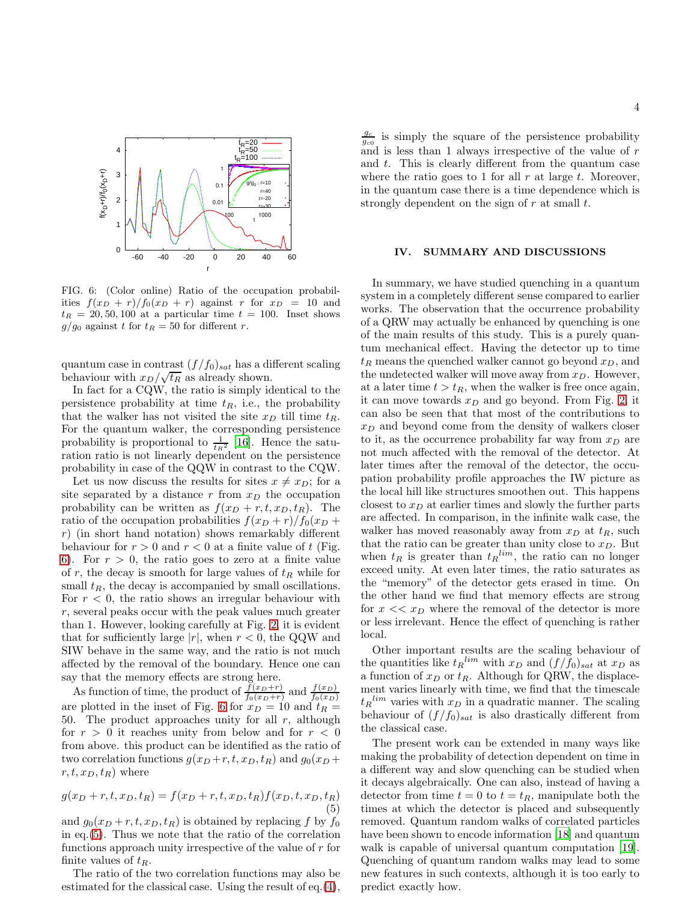

<span id="page-3-0"></span>FIG. 6: (Color online) Ratio of the occupation probabilities  $f(x_D + r)/f_0(x_D + r)$  against r for  $x_D = 10$  and  $t_R = 20, 50, 100$  at a particular time  $t = 100$ . Inset shows  $g/g_0$  against t for  $t_R = 50$  for different r.

quantum case in contrast  $(f/f_0)_{sat}$  has a different scaling behaviour with  $x_D/\sqrt{t_R}$  as already shown.

In fact for a CQW, the ratio is simply identical to the persistence probability at time  $t_R$ , i.e., the probability that the walker has not visited the site  $x_D$  till time  $t_R$ . For the quantum walker, the corresponding persistence probability is proportional to  $\frac{1}{kR^2}$  [\[16](#page-4-10)]. Hence the saturation ratio is not linearly dependent on the persistence probability in case of the QQW in contrast to the CQW.

Let us now discuss the results for sites  $x \neq x_D$ ; for a site separated by a distance r from  $x_D$  the occupation probability can be written as  $f(x_D + r, t, x_D, t_R)$ . The ratio of the occupation probabilities  $f(x_D + r)/f_0(x_D +$ r) (in short hand notation) shows remarkably different behaviour for  $r > 0$  and  $r < 0$  at a finite value of t (Fig. [6\)](#page-3-0). For  $r > 0$ , the ratio goes to zero at a finite value of r, the decay is smooth for large values of  $t_R$  while for small  $t_R$ , the decay is accompanied by small oscillations. For  $r < 0$ , the ratio shows an irregular behaviour with r, several peaks occur with the peak values much greater than 1. However, looking carefully at Fig. [2,](#page-1-1) it is evident that for sufficiently large  $|r|$ , when  $r < 0$ , the QQW and SIW behave in the same way, and the ratio is not much affected by the removal of the boundary. Hence one can say that the memory effects are strong here.

As function of time, the product of  $\frac{f(x_D+r)}{f_0(x_D+r)}$  and  $\frac{f(x_D)}{f_0(x_D)}$  are plotted in the inset of Fig. [6](#page-3-0) for  $x_D = 10$  and  $t_R =$ 50. The product approaches unity for all  $r$ , although for  $r > 0$  it reaches unity from below and for  $r < 0$ from above. this product can be identified as the ratio of two correlation functions  $g(x_D + r, t, x_D, t_R)$  and  $g_0(x_D +$  $r, t, x_D, t_R$ ) where

<span id="page-3-1"></span>
$$
g(x_D + r, t, x_D, t_R) = f(x_D + r, t, x_D, t_R) f(x_D, t, x_D, t_R)
$$
\n(5)

and  $g_0(x_D + r, t, x_D, t_R)$  is obtained by replacing f by  $f_0$ in eq.[\(5\)](#page-3-1). Thus we note that the ratio of the correlation functions approach unity irrespective of the value of  $r$  for finite values of  $t_R$ .

The ratio of the two correlation functions may also be estimated for the classical case. Using the result of eq.[\(4\)](#page-2-4),

 $\frac{g_c}{g_{c0}}$  is simply the square of the persistence probability and is less than 1 always irrespective of the value of  $r$ and  $t$ . This is clearly different from the quantum case where the ratio goes to 1 for all  $r$  at large  $t$ . Moreover, in the quantum case there is a time dependence which is strongly dependent on the sign of  $r$  at small  $t$ .

#### IV. SUMMARY AND DISCUSSIONS

In summary, we have studied quenching in a quantum system in a completely different sense compared to earlier works. The observation that the occurrence probability of a QRW may actually be enhanced by quenching is one of the main results of this study. This is a purely quantum mechanical effect. Having the detector up to time  $t_R$  means the quenched walker cannot go beyond  $x_D$ , and the undetected walker will move away from  $x_D$ . However, at a later time  $t > t_R$ , when the walker is free once again, it can move towards  $x_D$  and go beyond. From Fig. [2,](#page-1-1) it can also be seen that that most of the contributions to  $x_D$  and beyond come from the density of walkers closer to it, as the occurrence probability far way from  $x_D$  are not much affected with the removal of the detector. At later times after the removal of the detector, the occupation probability profile approaches the IW picture as the local hill like structures smoothen out. This happens closest to  $x_D$  at earlier times and slowly the further parts are affected. In comparison, in the infinite walk case, the walker has moved reasonably away from  $x_D$  at  $t_R$ , such that the ratio can be greater than unity close to  $x_D$ . But when  $t_R$  is greater than  $t_R^{lim}$ , the ratio can no longer exceed unity. At even later times, the ratio saturates as the "memory" of the detector gets erased in time. On the other hand we find that memory effects are strong for  $x \ll z_D$  where the removal of the detector is more or less irrelevant. Hence the effect of quenching is rather local.

Other important results are the scaling behaviour of the quantities like  $t_R^{lim}$  with  $x_D$  and  $(f/f_0)_{sat}$  at  $x_D$  as a function of  $x_D$  or  $t_R$ . Although for QRW, the displacement varies linearly with time, we find that the timescale  $t_R$ <sup>lim</sup> varies with  $x_D$  in a quadratic manner. The scaling behaviour of  $(f/f_0)_{sat}$  is also drastically different from the classical case.

The present work can be extended in many ways like making the probability of detection dependent on time in a different way and slow quenching can be studied when it decays algebraically. One can also, instead of having a detector from time  $t = 0$  to  $t = t_R$ , manipulate both the times at which the detector is placed and subsequently removed. Quantum random walks of correlated particles have been shown to encode information [\[18\]](#page-4-13) and quantum walk is capable of universal quantum computation [\[19\]](#page-4-14). Quenching of quantum random walks may lead to some new features in such contexts, although it is too early to predict exactly how.